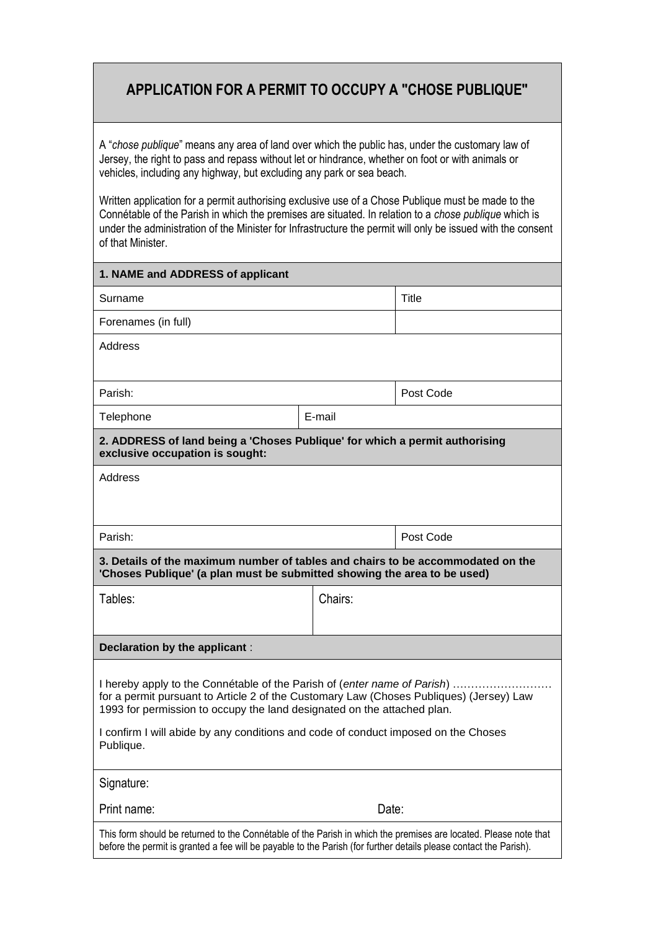## **APPLICATION FOR A PERMIT TO OCCUPY A "CHOSE PUBLIQUE"**

A "*chose publique*" means any area of land over which the public has, under the customary law of Jersey, the right to pass and repass without let or hindrance, whether on foot or with animals or vehicles, including any highway, but excluding any park or sea beach.

Written application for a permit authorising exclusive use of a Chose Publique must be made to the Connétable of the Parish in which the premises are situated. In relation to a *chose publique* which is under the administration of the Minister for Infrastructure the permit will only be issued with the consent of that Minister.

| 1. NAME and ADDRESS of applicant                                                                                                                                                                                                                                                                                                                  |         |              |  |  |
|---------------------------------------------------------------------------------------------------------------------------------------------------------------------------------------------------------------------------------------------------------------------------------------------------------------------------------------------------|---------|--------------|--|--|
| Surname                                                                                                                                                                                                                                                                                                                                           |         | <b>Title</b> |  |  |
| Forenames (in full)                                                                                                                                                                                                                                                                                                                               |         |              |  |  |
| Address                                                                                                                                                                                                                                                                                                                                           |         |              |  |  |
|                                                                                                                                                                                                                                                                                                                                                   |         |              |  |  |
| Parish:                                                                                                                                                                                                                                                                                                                                           |         | Post Code    |  |  |
| Telephone                                                                                                                                                                                                                                                                                                                                         | E-mail  |              |  |  |
| 2. ADDRESS of land being a 'Choses Publique' for which a permit authorising<br>exclusive occupation is sought:                                                                                                                                                                                                                                    |         |              |  |  |
| Address                                                                                                                                                                                                                                                                                                                                           |         |              |  |  |
|                                                                                                                                                                                                                                                                                                                                                   |         |              |  |  |
| Parish:                                                                                                                                                                                                                                                                                                                                           |         | Post Code    |  |  |
| 3. Details of the maximum number of tables and chairs to be accommodated on the<br>'Choses Publique' (a plan must be submitted showing the area to be used)                                                                                                                                                                                       |         |              |  |  |
| Tables:                                                                                                                                                                                                                                                                                                                                           | Chairs: |              |  |  |
|                                                                                                                                                                                                                                                                                                                                                   |         |              |  |  |
| Declaration by the applicant:                                                                                                                                                                                                                                                                                                                     |         |              |  |  |
| I hereby apply to the Connétable of the Parish of (enter name of Parish)<br>for a permit pursuant to Article 2 of the Customary Law (Choses Publiques) (Jersey) Law<br>1993 for permission to occupy the land designated on the attached plan.<br>I confirm I will abide by any conditions and code of conduct imposed on the Choses<br>Publique. |         |              |  |  |
| Signature:                                                                                                                                                                                                                                                                                                                                        |         |              |  |  |
| Print name:<br>Date:                                                                                                                                                                                                                                                                                                                              |         |              |  |  |
| This form should be returned to the Connétable of the Parish in which the premises are located. Please note that<br>before the permit is granted a fee will be payable to the Parish (for further details please contact the Parish).                                                                                                             |         |              |  |  |